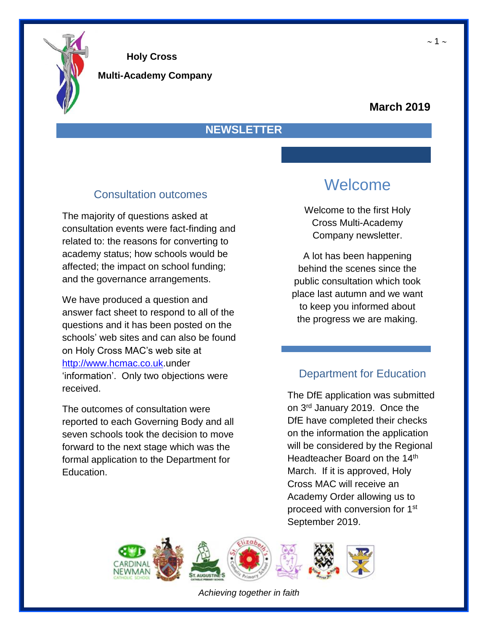

**Multi-Academy Company**

#### **March 2019**

#### **NEWSLETTER**

### Consultation outcomes

The majority of questions asked at consultation events were fact-finding and related to: the reasons for converting to academy status; how schools would be affected; the impact on school funding; and the governance arrangements.

We have produced a question and answer fact sheet to respond to all of the questions and it has been posted on the schools' web sites and can also be found on Holy Cross MAC's web site at [http://www.hcmac.co.uk.](http://www.hcmac.co.uk/)under 'information'. Only two objections were received.

The outcomes of consultation were reported to each Governing Body and all seven schools took the decision to move forward to the next stage which was the formal application to the Department for Education.

## Welcome

Welcome to the first Holy Cross Multi-Academy Company newsletter.

A lot has been happening behind the scenes since the public consultation which took place last autumn and we want to keep you informed about the progress we are making.

### Department for Education

The DfE application was submitted on 3<sup>rd</sup> January 2019. Once the DfE have completed their checks on the information the application will be considered by the Regional Headteacher Board on the 14<sup>th</sup> March. If it is approved, Holy Cross MAC will receive an Academy Order allowing us to proceed with conversion for 1st September 2019.



*Achieving together in faith*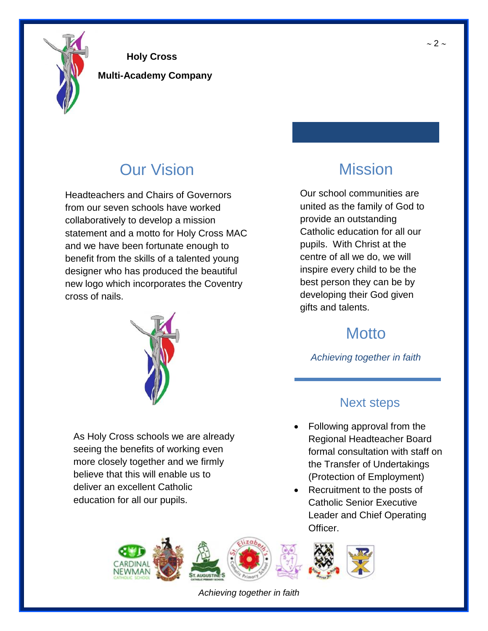

**Multi-Academy Company**

# Our Vision

Headteachers and Chairs of Governors from our seven schools have worked collaboratively to develop a mission statement and a motto for Holy Cross MAC and we have been fortunate enough to benefit from the skills of a talented young designer who has produced the beautiful new logo which incorporates the Coventry cross of nails.



As Holy Cross schools we are already seeing the benefits of working even more closely together and we firmly believe that this will enable us to deliver an excellent Catholic education for all our pupils.

# Mission

Our school communities are united as the family of God to provide an outstanding Catholic education for all our pupils. With Christ at the centre of all we do, we will inspire every child to be the best person they can be by developing their God given gifts and talents.

# **Motto**

*Achieving together in faith*

### Next steps

- Following approval from the Regional Headteacher Board formal consultation with staff on the Transfer of Undertakings (Protection of Employment)
- Recruitment to the posts of Catholic Senior Executive Leader and Chief Operating Officer.



*Achieving together in faith*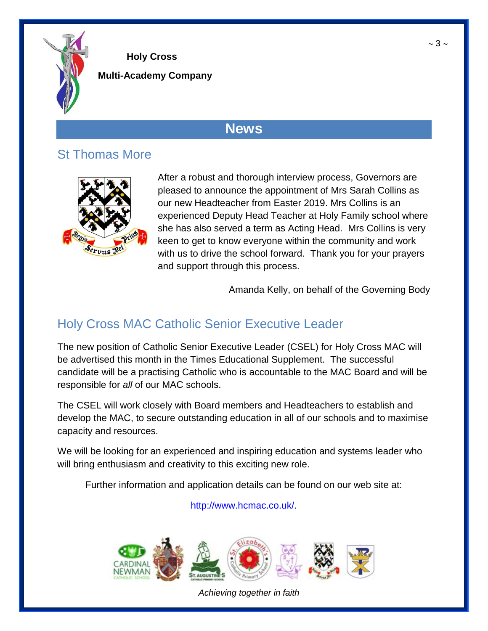

**Multi-Academy Company**

## **News**

## St Thomas More



After a robust and thorough interview process, Governors are pleased to announce the appointment of Mrs Sarah Collins as our new Headteacher from Easter 2019. Mrs Collins is an experienced Deputy Head Teacher at Holy Family school where she has also served a term as Acting Head. Mrs Collins is very keen to get to know everyone within the community and work with us to drive the school forward. Thank you for your prayers and support through this process.

Amanda Kelly, on behalf of the Governing Body

### Holy Cross MAC Catholic Senior Executive Leader

The new position of Catholic Senior Executive Leader (CSEL) for Holy Cross MAC will be advertised this month in the Times Educational Supplement. The successful candidate will be a practising Catholic who is accountable to the MAC Board and will be responsible for *all* of our MAC schools.

The CSEL will work closely with Board members and Headteachers to establish and develop the MAC, to secure outstanding education in all of our schools and to maximise capacity and resources.

We will be looking for an experienced and inspiring education and systems leader who will bring enthusiasm and creativity to this exciting new role.

Further information and application details can be found on our web site at:

[http://www.hcmac.co.uk/.](http://www.hcmac.co.uk/)



*Achieving together in faith*